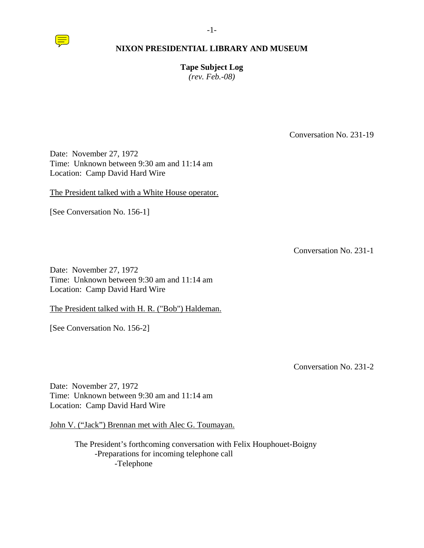

**Tape Subject Log**  *(rev. Feb.-08)* 

Conversation No. 231-19

Date: November 27, 1972 Time: Unknown between 9:30 am and 11:14 am Location: Camp David Hard Wire

The President talked with a White House operator.

[See Conversation No. 156-1]

Conversation No. 231-1

Date: November 27, 1972 Time: Unknown between 9:30 am and 11:14 am Location: Camp David Hard Wire

The President talked with H. R. ("Bob") Haldeman.

[See Conversation No. 156-2]

Conversation No. 231-2

Date: November 27, 1972 Time: Unknown between 9:30 am and 11:14 am Location: Camp David Hard Wire

John V. ("Jack") Brennan met with Alec G. Toumayan.

 The President's forthcoming conversation with Felix Houphouet-Boigny -Preparations for incoming telephone call -Telephone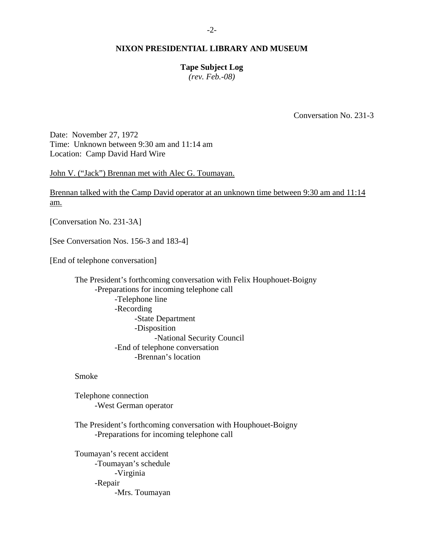# **Tape Subject Log**

*(rev. Feb.-08)* 

Conversation No. 231-3

Date: November 27, 1972 Time: Unknown between 9:30 am and 11:14 am Location: Camp David Hard Wire

John V. ("Jack") Brennan met with Alec G. Toumayan.

Brennan talked with the Camp David operator at an unknown time between 9:30 am and 11:14 am.

[Conversation No. 231-3A]

[See Conversation Nos. 156-3 and 183-4]

[End of telephone conversation]

 The President's forthcoming conversation with Felix Houphouet-Boigny -Preparations for incoming telephone call -Telephone line -Recording -State Department -Disposition -National Security Council -End of telephone conversation -Brennan's location

Smoke

 Telephone connection -West German operator

 The President's forthcoming conversation with Houphouet-Boigny -Preparations for incoming telephone call

 Toumayan's recent accident -Toumayan's schedule -Virginia -Repair -Mrs. Toumayan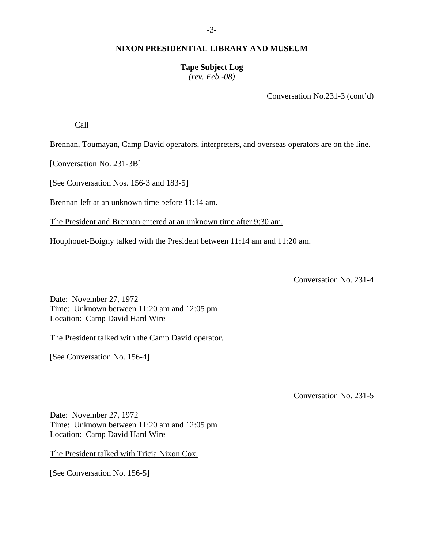# **Tape Subject Log**

*(rev. Feb.-08)* 

Conversation No.231-3 (cont'd)

Call

Brennan, Toumayan, Camp David operators, interpreters, and overseas operators are on the line.

[Conversation No. 231-3B]

[See Conversation Nos. 156-3 and 183-5]

Brennan left at an unknown time before 11:14 am.

The President and Brennan entered at an unknown time after 9:30 am.

Houphouet-Boigny talked with the President between 11:14 am and 11:20 am.

Conversation No. 231-4

Date: November 27, 1972 Time: Unknown between 11:20 am and 12:05 pm Location: Camp David Hard Wire

The President talked with the Camp David operator.

[See Conversation No. 156-4]

Conversation No. 231-5

Date: November 27, 1972 Time: Unknown between 11:20 am and 12:05 pm Location: Camp David Hard Wire

The President talked with Tricia Nixon Cox.

[See Conversation No. 156-5]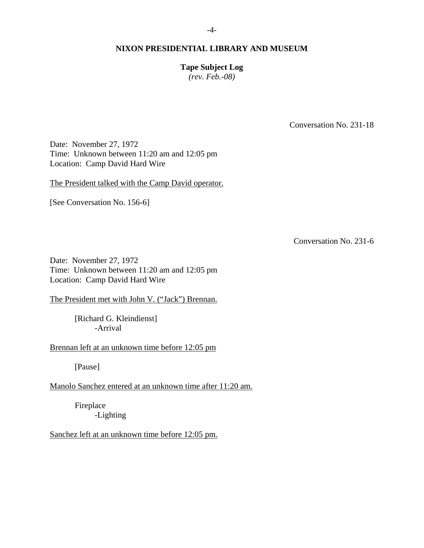#### -4-

# **NIXON PRESIDENTIAL LIBRARY AND MUSEUM**

# **Tape Subject Log**

*(rev. Feb.-08)* 

Conversation No. 231-18

Date: November 27, 1972 Time: Unknown between 11:20 am and 12:05 pm Location: Camp David Hard Wire

The President talked with the Camp David operator.

[See Conversation No. 156-6]

Conversation No. 231-6

Date: November 27, 1972 Time: Unknown between 11:20 am and 12:05 pm Location: Camp David Hard Wire

The President met with John V. ("Jack") Brennan.

[Richard G. Kleindienst] -Arrival

Brennan left at an unknown time before 12:05 pm

[Pause]

Manolo Sanchez entered at an unknown time after 11:20 am.

 Fireplace -Lighting

Sanchez left at an unknown time before 12:05 pm.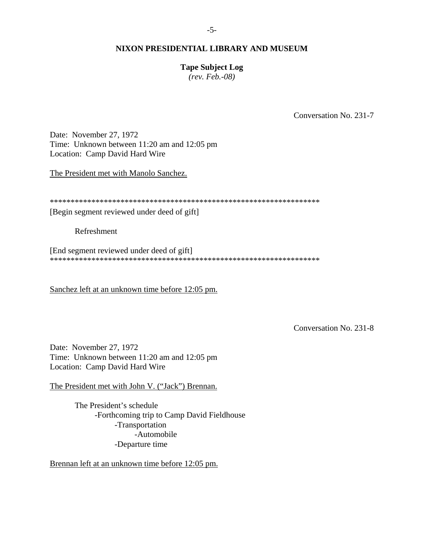# **Tape Subject Log**

*(rev. Feb.-08)* 

Conversation No. 231-7

Date: November 27, 1972 Time: Unknown between 11:20 am and 12:05 pm Location: Camp David Hard Wire

The President met with Manolo Sanchez.

\*\*\*\*\*\*\*\*\*\*\*\*\*\*\*\*\*\*\*\*\*\*\*\*\*\*\*\*\*\*\*\*\*\*\*\*\*\*\*\*\*\*\*\*\*\*\*\*\*\*\*\*\*\*\*\*\*\*\*\*\*\*\*\*\*

[Begin segment reviewed under deed of gift]

Refreshment

[End segment reviewed under deed of gift] \*\*\*\*\*\*\*\*\*\*\*\*\*\*\*\*\*\*\*\*\*\*\*\*\*\*\*\*\*\*\*\*\*\*\*\*\*\*\*\*\*\*\*\*\*\*\*\*\*\*\*\*\*\*\*\*\*\*\*\*\*\*\*\*\*

Sanchez left at an unknown time before 12:05 pm.

Conversation No. 231-8

Date: November 27, 1972 Time: Unknown between 11:20 am and 12:05 pm Location: Camp David Hard Wire

The President met with John V. ("Jack") Brennan.

 The President's schedule -Forthcoming trip to Camp David Fieldhouse -Transportation -Automobile -Departure time

Brennan left at an unknown time before 12:05 pm.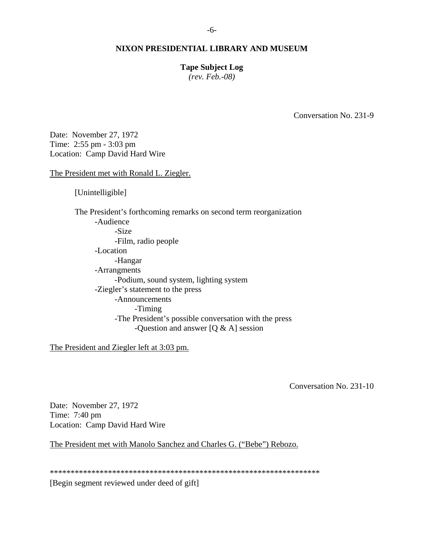### **Tape Subject Log**

*(rev. Feb.-08)* 

Conversation No. 231-9

Date: November 27, 1972 Time: 2:55 pm - 3:03 pm Location: Camp David Hard Wire

The President met with Ronald L. Ziegler.

[Unintelligible]

 The President's forthcoming remarks on second term reorganization -Audience -Size -Film, radio people -Location -Hangar -Arrangments -Podium, sound system, lighting system -Ziegler's statement to the press -Announcements -Timing -The President's possible conversation with the press -Question and answer [Q & A] session

The President and Ziegler left at 3:03 pm.

Conversation No. 231-10

Date: November 27, 1972 Time: 7:40 pm Location: Camp David Hard Wire

The President met with Manolo Sanchez and Charles G. ("Bebe") Rebozo.

\*\*\*\*\*\*\*\*\*\*\*\*\*\*\*\*\*\*\*\*\*\*\*\*\*\*\*\*\*\*\*\*\*\*\*\*\*\*\*\*\*\*\*\*\*\*\*\*\*\*\*\*\*\*\*\*\*\*\*\*\*\*\*\*\*

[Begin segment reviewed under deed of gift]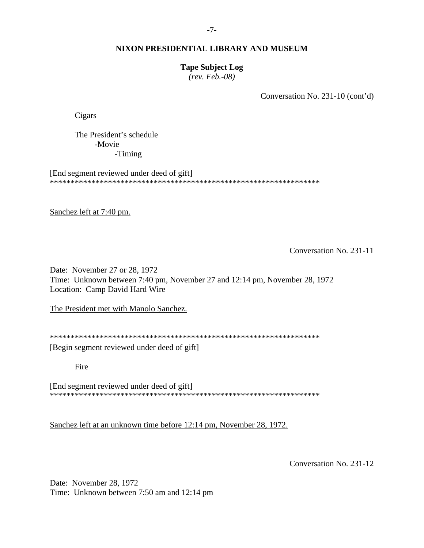# **Tape Subject Log**

*(rev. Feb.-08)* 

Conversation No. 231-10 (cont'd)

Cigars

 The President's schedule -Movie -Timing

[End segment reviewed under deed of gift] \*\*\*\*\*\*\*\*\*\*\*\*\*\*\*\*\*\*\*\*\*\*\*\*\*\*\*\*\*\*\*\*\*\*\*\*\*\*\*\*\*\*\*\*\*\*\*\*\*\*\*\*\*\*\*\*\*\*\*\*\*\*\*\*\*

Sanchez left at 7:40 pm.

Conversation No. 231-11

Date: November 27 or 28, 1972 Time: Unknown between 7:40 pm, November 27 and 12:14 pm, November 28, 1972 Location: Camp David Hard Wire

The President met with Manolo Sanchez.

\*\*\*\*\*\*\*\*\*\*\*\*\*\*\*\*\*\*\*\*\*\*\*\*\*\*\*\*\*\*\*\*\*\*\*\*\*\*\*\*\*\*\*\*\*\*\*\*\*\*\*\*\*\*\*\*\*\*\*\*\*\*\*\*\*

[Begin segment reviewed under deed of gift]

Fire

[End segment reviewed under deed of gift] \*\*\*\*\*\*\*\*\*\*\*\*\*\*\*\*\*\*\*\*\*\*\*\*\*\*\*\*\*\*\*\*\*\*\*\*\*\*\*\*\*\*\*\*\*\*\*\*\*\*\*\*\*\*\*\*\*\*\*\*\*\*\*\*\*

Sanchez left at an unknown time before 12:14 pm, November 28, 1972.

Conversation No. 231-12

Date: November 28, 1972 Time: Unknown between 7:50 am and 12:14 pm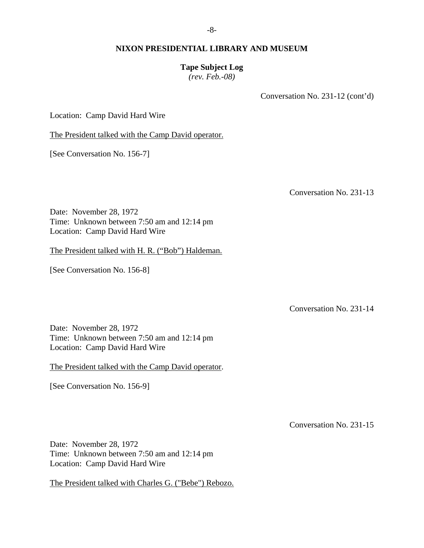### **Tape Subject Log**

*(rev. Feb.-08)* 

Conversation No. 231-12 (cont'd)

Location: Camp David Hard Wire

The President talked with the Camp David operator.

[See Conversation No. 156-7]

Conversation No. 231-13

Date: November 28, 1972 Time: Unknown between 7:50 am and 12:14 pm Location: Camp David Hard Wire

The President talked with H. R. ("Bob") Haldeman.

[See Conversation No. 156-8]

Conversation No. 231-14

Date: November 28, 1972 Time: Unknown between 7:50 am and 12:14 pm Location: Camp David Hard Wire

The President talked with the Camp David operator.

[See Conversation No. 156-9]

Conversation No. 231-15

Date: November 28, 1972 Time: Unknown between 7:50 am and 12:14 pm Location: Camp David Hard Wire

The President talked with Charles G. ("Bebe") Rebozo.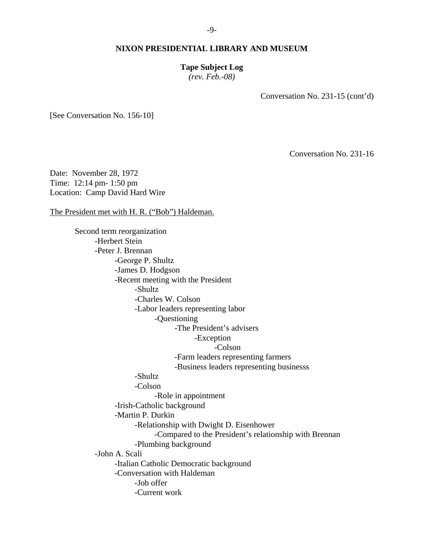# **Tape Subject Log**

*(rev. Feb.-08)* 

Conversation No. 231-15 (cont'd)

[See Conversation No. 156-10]

Conversation No. 231-16

Date: November 28, 1972 Time: 12:14 pm- 1:50 pm Location: Camp David Hard Wire

The President met with H. R. ("Bob") Haldeman.

 Second term reorganization -Herbert Stein -Peter J. Brennan -George P. Shultz -James D. Hodgson -Recent meeting with the President -Shultz -Charles W. Colson -Labor leaders representing labor -Questioning -The President's advisers -Exception -Colson -Farm leaders representing farmers -Business leaders representing businesss -Shultz -Colson -Role in appointment -Irish-Catholic background -Martin P. Durkin -Relationship with Dwight D. Eisenhower -Compared to the President's relationship with Brennan -Plumbing background -John A. Scali -Italian Catholic Democratic background -Conversation with Haldeman -Job offer -Current work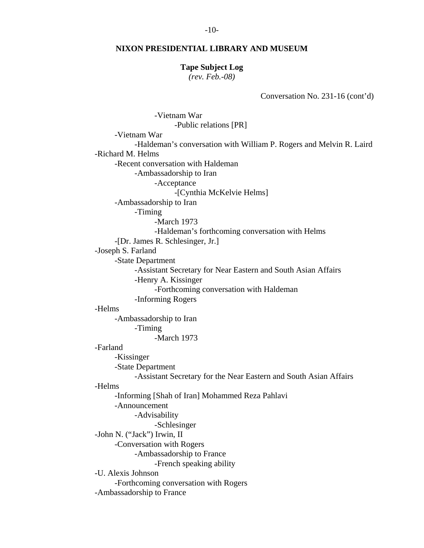#### **Tape Subject Log**

*(rev. Feb.-08)* 

Conversation No. 231-16 (cont'd)

 -Vietnam War -Public relations [PR] -Vietnam War -Haldeman's conversation with William P. Rogers and Melvin R. Laird -Richard M. Helms -Recent conversation with Haldeman -Ambassadorship to Iran -Acceptance -[Cynthia McKelvie Helms] -Ambassadorship to Iran -Timing -March 1973 -Haldeman's forthcoming conversation with Helms -[Dr. James R. Schlesinger, Jr.] -Joseph S. Farland -State Department -Assistant Secretary for Near Eastern and South Asian Affairs -Henry A. Kissinger -Forthcoming conversation with Haldeman -Informing Rogers -Helms -Ambassadorship to Iran -Timing -March 1973 -Farland -Kissinger -State Department -Assistant Secretary for the Near Eastern and South Asian Affairs -Helms -Informing [Shah of Iran] Mohammed Reza Pahlavi -Announcement -Advisability -Schlesinger -John N. ("Jack") Irwin, II -Conversation with Rogers -Ambassadorship to France -French speaking ability -U. Alexis Johnson -Forthcoming conversation with Rogers -Ambassadorship to France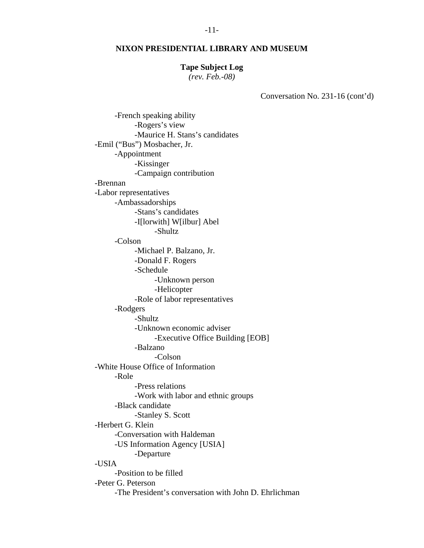#### **Tape Subject Log**

*(rev. Feb.-08)* 

Conversation No. 231-16 (cont'd)

 -French speaking ability -Rogers's view -Maurice H. Stans's candidates -Emil ("Bus") Mosbacher, Jr. -Appointment -Kissinger -Campaign contribution -Brennan -Labor representatives -Ambassadorships -Stans's candidates -I[lorwith] W[ilbur] Abel -Shultz -Colson -Michael P. Balzano, Jr. -Donald F. Rogers -Schedule -Unknown person -Helicopter -Role of labor representatives -Rodgers -Shultz -Unknown economic adviser -Executive Office Building [EOB] -Balzano -Colson -White House Office of Information -Role -Press relations -Work with labor and ethnic groups -Black candidate -Stanley S. Scott -Herbert G. Klein -Conversation with Haldeman -US Information Agency [USIA] -Departure -USIA -Position to be filled -Peter G. Peterson -The President's conversation with John D. Ehrlichman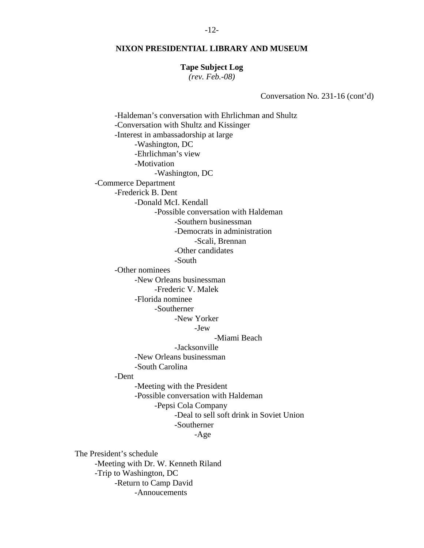#### **Tape Subject Log**

*(rev. Feb.-08)* 

Conversation No. 231-16 (cont'd)

 -Haldeman's conversation with Ehrlichman and Shultz -Conversation with Shultz and Kissinger -Interest in ambassadorship at large -Washington, DC -Ehrlichman's view -Motivation -Washington, DC -Commerce Department -Frederick B. Dent -Donald McI. Kendall -Possible conversation with Haldeman -Southern businessman -Democrats in administration -Scali, Brennan -Other candidates -South -Other nominees -New Orleans businessman -Frederic V. Malek -Florida nominee -Southerner -New Yorker -Jew -Miami Beach -Jacksonville -New Orleans businessman -South Carolina -Dent -Meeting with the President -Possible conversation with Haldeman -Pepsi Cola Company -Deal to sell soft drink in Soviet Union -Southerner -Age The President's schedule

 -Meeting with Dr. W. Kenneth Riland -Trip to Washington, DC -Return to Camp David -Annoucements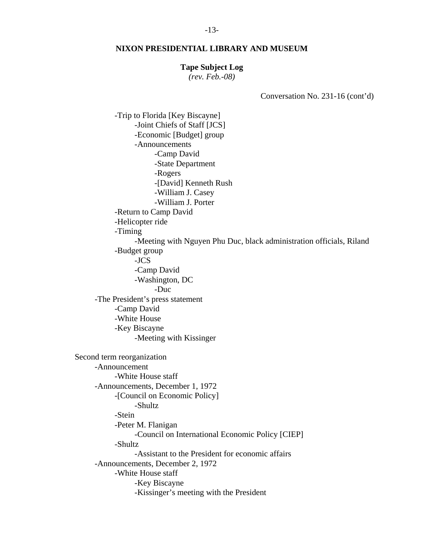#### **Tape Subject Log**

*(rev. Feb.-08)* 

Conversation No. 231-16 (cont'd)

 -Trip to Florida [Key Biscayne] -Joint Chiefs of Staff [JCS] -Economic [Budget] group -Announcements -Camp David -State Department -Rogers -[David] Kenneth Rush -William J. Casey -William J. Porter -Return to Camp David -Helicopter ride -Timing -Meeting with Nguyen Phu Duc, black administration officials, Riland -Budget group -JCS -Camp David -Washington, DC -Duc -The President's press statement -Camp David -White House -Key Biscayne -Meeting with Kissinger Second term reorganization -Announcement -White House staff -Announcements, December 1, 1972 -[Council on Economic Policy] -Shultz -Stein -Peter M. Flanigan -Council on International Economic Policy [CIEP] -Shultz -Assistant to the President for economic affairs -Announcements, December 2, 1972 -White House staff -Key Biscayne -Kissinger's meeting with the President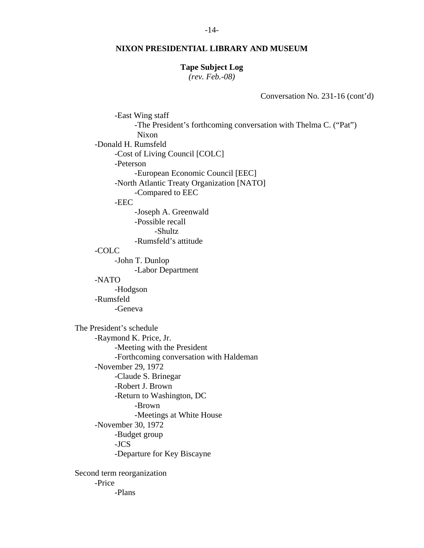#### **Tape Subject Log**

*(rev. Feb.-08)* 

Conversation No. 231-16 (cont'd)

 -East Wing staff -The President's forthcoming conversation with Thelma C. ("Pat") Nixon -Donald H. Rumsfeld -Cost of Living Council [COLC] -Peterson -European Economic Council [EEC] -North Atlantic Treaty Organization [NATO] -Compared to EEC -EEC -Joseph A. Greenwald -Possible recall -Shultz -Rumsfeld's attitude -COLC -John T. Dunlop -Labor Department -NATO -Hodgson -Rumsfeld -Geneva The President's schedule -Raymond K. Price, Jr. -Meeting with the President -Forthcoming conversation with Haldeman -November 29, 1972 -Claude S. Brinegar -Robert J. Brown -Return to Washington, DC -Brown -Meetings at White House -November 30, 1972 -Budget group -JCS -Departure for Key Biscayne Second term reorganization -Price -Plans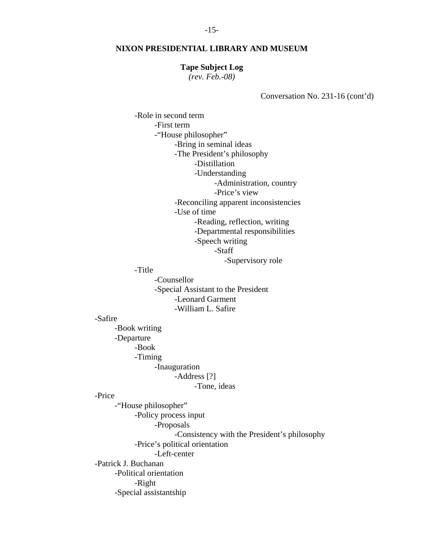#### **Tape Subject Log**

*(rev. Feb.-08)* 

Conversation No. 231-16 (cont'd)

 -Role in second term -First term -"House philosopher" -Bring in seminal ideas -The President's philosophy -Distillation -Understanding -Administration, country -Price's view -Reconciling apparent inconsistencies -Use of time -Reading, reflection, writing -Departmental responsibilities -Speech writing -Staff -Supervisory role -Title -Counsellor -Special Assistant to the President -Leonard Garment -William L. Safire -Safire -Book writing -Departure -Book -Timing -Inauguration -Address [?] -Tone, ideas -Price -"House philosopher" -Policy process input -Proposals -Consistency with the President's philosophy -Price's political orientation -Left-center -Patrick J. Buchanan -Political orientation -Right -Special assistantship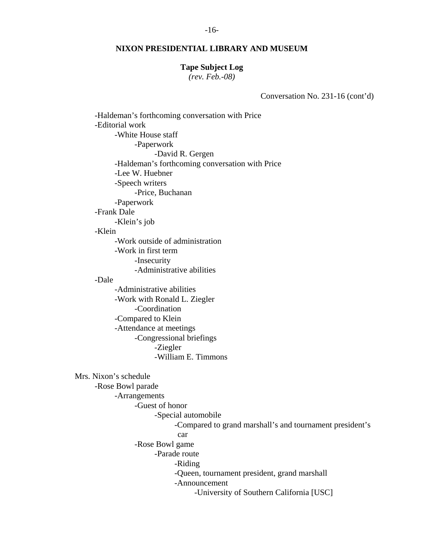#### **Tape Subject Log**

*(rev. Feb.-08)* 

Conversation No. 231-16 (cont'd)

 -Haldeman's forthcoming conversation with Price -Editorial work -White House staff -Paperwork -David R. Gergen -Haldeman's forthcoming conversation with Price -Lee W. Huebner -Speech writers -Price, Buchanan -Paperwork -Frank Dale -Klein's job -Klein -Work outside of administration -Work in first term -Insecurity -Administrative abilities -Dale -Administrative abilities -Work with Ronald L. Ziegler -Coordination -Compared to Klein -Attendance at meetings -Congressional briefings -Ziegler -William E. Timmons Mrs. Nixon's schedule -Rose Bowl parade -Arrangements -Guest of honor -Special automobile -Compared to grand marshall's and tournament president's car -Rose Bowl game -Parade route -Riding -Queen, tournament president, grand marshall -Announcement -University of Southern California [USC]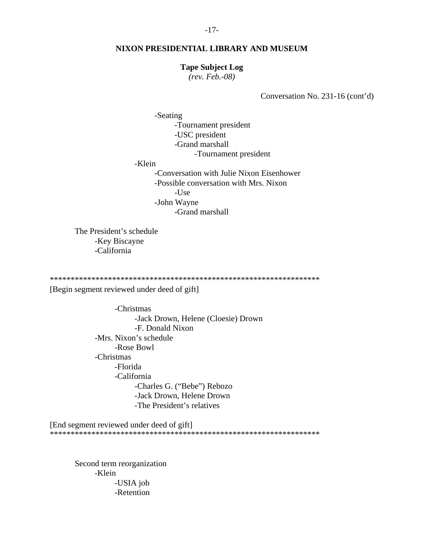#### **Tape Subject Log**

*(rev. Feb.-08)* 

Conversation No. 231-16 (cont'd)

 -Seating -Tournament president -USC president -Grand marshall -Tournament president -Klein -Conversation with Julie Nixon Eisenhower -Possible conversation with Mrs. Nixon -Use -John Wayne -Grand marshall

 The President's schedule -Key Biscayne -California

\*\*\*\*\*\*\*\*\*\*\*\*\*\*\*\*\*\*\*\*\*\*\*\*\*\*\*\*\*\*\*\*\*\*\*\*\*\*\*\*\*\*\*\*\*\*\*\*\*\*\*\*\*\*\*\*\*\*\*\*\*\*\*\*\*

[Begin segment reviewed under deed of gift]

 -Christmas -Jack Drown, Helene (Cloesie) Drown -F. Donald Nixon -Mrs. Nixon's schedule -Rose Bowl -Christmas -Florida -California -Charles G. ("Bebe") Rebozo -Jack Drown, Helene Drown -The President's relatives

[End segment reviewed under deed of gift] \*\*\*\*\*\*\*\*\*\*\*\*\*\*\*\*\*\*\*\*\*\*\*\*\*\*\*\*\*\*\*\*\*\*\*\*\*\*\*\*\*\*\*\*\*\*\*\*\*\*\*\*\*\*\*\*\*\*\*\*\*\*\*\*\*

 Second term reorganization -Klein -USIA job -Retention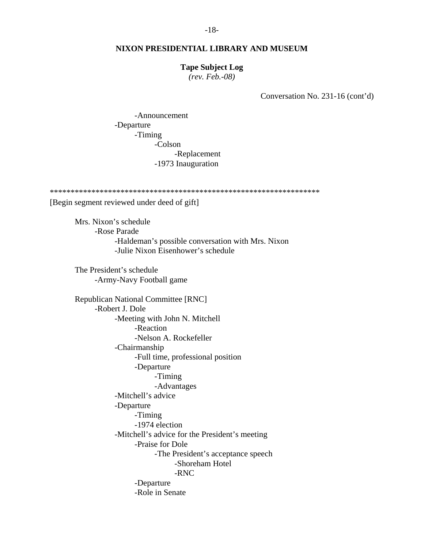#### **Tape Subject Log**

*(rev. Feb.-08)* 

Conversation No. 231-16 (cont'd)

 -Announcement -Departure -Timing -Colson -Replacement -1973 Inauguration

\*\*\*\*\*\*\*\*\*\*\*\*\*\*\*\*\*\*\*\*\*\*\*\*\*\*\*\*\*\*\*\*\*\*\*\*\*\*\*\*\*\*\*\*\*\*\*\*\*\*\*\*\*\*\*\*\*\*\*\*\*\*\*\*\* [Begin segment reviewed under deed of gift]

 Mrs. Nixon's schedule -Rose Parade -Haldeman's possible conversation with Mrs. Nixon -Julie Nixon Eisenhower's schedule

 The President's schedule -Army-Navy Football game

 Republican National Committee [RNC] -Robert J. Dole -Meeting with John N. Mitchell -Reaction -Nelson A. Rockefeller -Chairmanship -Full time, professional position -Departure -Timing -Advantages -Mitchell's advice -Departure -Timing -1974 election -Mitchell's advice for the President's meeting -Praise for Dole -The President's acceptance speech -Shoreham Hotel -RNC -Departure -Role in Senate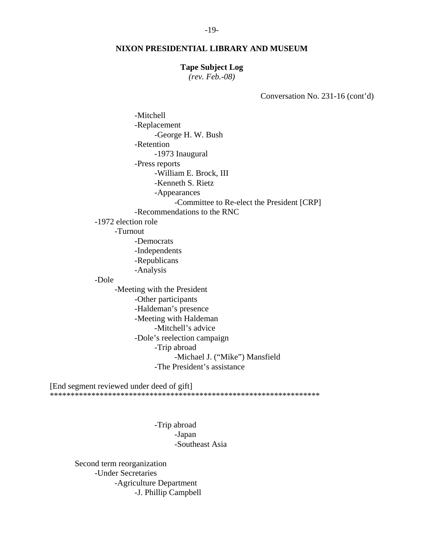#### **Tape Subject Log**

*(rev. Feb.-08)* 

Conversation No. 231-16 (cont'd)

 -Mitchell -Replacement -George H. W. Bush -Retention -1973 Inaugural -Press reports -William E. Brock, III -Kenneth S. Rietz -Appearances -Committee to Re-elect the President [CRP] -Recommendations to the RNC -1972 election role -Turnout -Democrats -Independents -Republicans -Analysis -Dole -Meeting with the President -Other participants -Haldeman's presence -Meeting with Haldeman -Mitchell's advice -Dole's reelection campaign -Trip abroad -Michael J. ("Mike") Mansfield -The President's assistance

[End segment reviewed under deed of gift]

\*\*\*\*\*\*\*\*\*\*\*\*\*\*\*\*\*\*\*\*\*\*\*\*\*\*\*\*\*\*\*\*\*\*\*\*\*\*\*\*\*\*\*\*\*\*\*\*\*\*\*\*\*\*\*\*\*\*\*\*\*\*\*\*\*

 -Trip abroad -Japan -Southeast Asia

 Second term reorganization -Under Secretaries -Agriculture Department -J. Phillip Campbell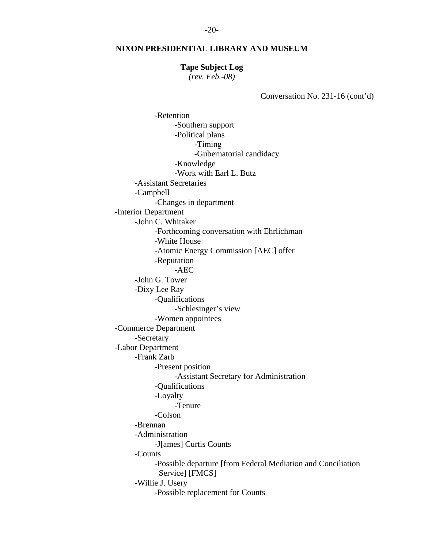#### **Tape Subject Log**

*(rev. Feb.-08)* 

Conversation No. 231-16 (cont'd)

 -Retention -Southern support -Political plans -Timing -Gubernatorial candidacy -Knowledge -Work with Earl L. Butz -Assistant Secretaries -Campbell -Changes in department -Interior Department -John C. Whitaker -Forthcoming conversation with Ehrlichman -White House -Atomic Energy Commission [AEC] offer -Reputation -AEC -John G. Tower -Dixy Lee Ray -Qualifications -Schlesinger's view -Women appointees -Commerce Department -Secretary -Labor Department -Frank Zarb -Present position -Assistant Secretary for Administration -Qualifications -Loyalty -Tenure -Colson -Brennan -Administration -J[ames] Curtis Counts -Counts -Possible departure [from Federal Mediation and Conciliation Service] [FMCS] -Willie J. Usery -Possible replacement for Counts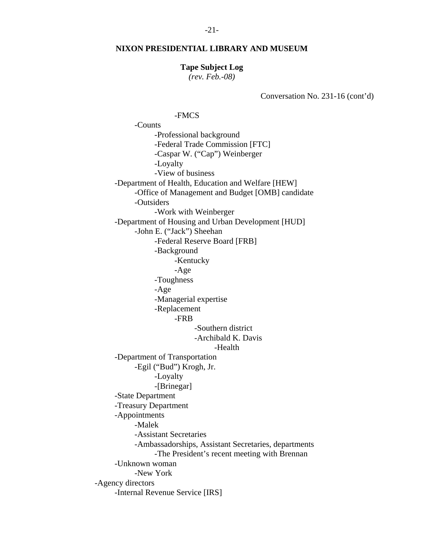# **Tape Subject Log**

*(rev. Feb.-08)* 

Conversation No. 231-16 (cont'd)

# -FMCS

 -Counts -Professional background -Federal Trade Commission [FTC] -Caspar W. ("Cap") Weinberger -Loyalty -View of business -Department of Health, Education and Welfare [HEW] -Office of Management and Budget [OMB] candidate -Outsiders -Work with Weinberger -Department of Housing and Urban Development [HUD] -John E. ("Jack") Sheehan -Federal Reserve Board [FRB] -Background -Kentucky -Age -Toughness -Age -Managerial expertise -Replacement -FRB -Southern district -Archibald K. Davis -Health -Department of Transportation -Egil ("Bud") Krogh, Jr. -Loyalty -[Brinegar] -State Department -Treasury Department -Appointments -Malek -Assistant Secretaries -Ambassadorships, Assistant Secretaries, departments -The President's recent meeting with Brennan -Unknown woman -New York -Agency directors -Internal Revenue Service [IRS]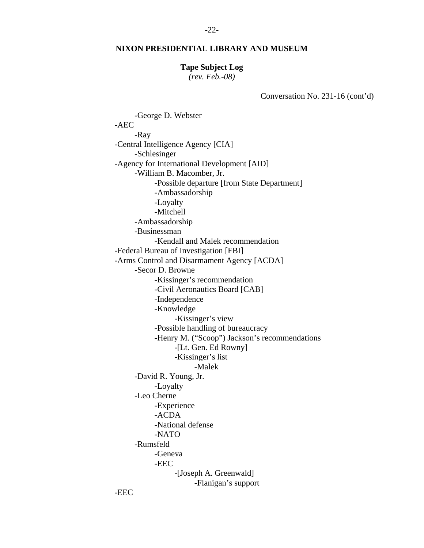# **Tape Subject Log**

*(rev. Feb.-08)* 

Conversation No. 231-16 (cont'd)

 -George D. Webster -AEC -Ray -Central Intelligence Agency [CIA] -Schlesinger -Agency for International Development [AID] -William B. Macomber, Jr. -Possible departure [from State Department] -Ambassadorship -Loyalty -Mitchell -Ambassadorship -Businessman -Kendall and Malek recommendation -Federal Bureau of Investigation [FBI] -Arms Control and Disarmament Agency [ACDA] -Secor D. Browne -Kissinger's recommendation -Civil Aeronautics Board [CAB] -Independence -Knowledge -Kissinger's view -Possible handling of bureaucracy -Henry M. ("Scoop") Jackson's recommendations -[Lt. Gen. Ed Rowny] -Kissinger's list -Malek -David R. Young, Jr. -Loyalty -Leo Cherne -Experience -ACDA -National defense -NATO -Rumsfeld -Geneva -EEC -[Joseph A. Greenwald] -Flanigan's support

-EEC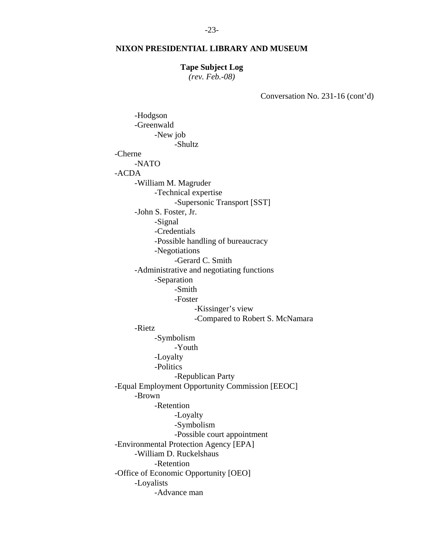#### **Tape Subject Log**

*(rev. Feb.-08)* 

Conversation No. 231-16 (cont'd)

 -Hodgson -Greenwald -New job -Shultz -Cherne -NATO -ACDA -William M. Magruder -Technical expertise -Supersonic Transport [SST] -John S. Foster, Jr. -Signal -Credentials -Possible handling of bureaucracy -Negotiations -Gerard C. Smith -Administrative and negotiating functions -Separation -Smith -Foster -Kissinger's view -Compared to Robert S. McNamara -Rietz -Symbolism -Youth -Loyalty -Politics -Republican Party -Equal Employment Opportunity Commission [EEOC] -Brown -Retention -Loyalty -Symbolism -Possible court appointment -Environmental Protection Agency [EPA] -William D. Ruckelshaus -Retention -Office of Economic Opportunity [OEO] -Loyalists -Advance man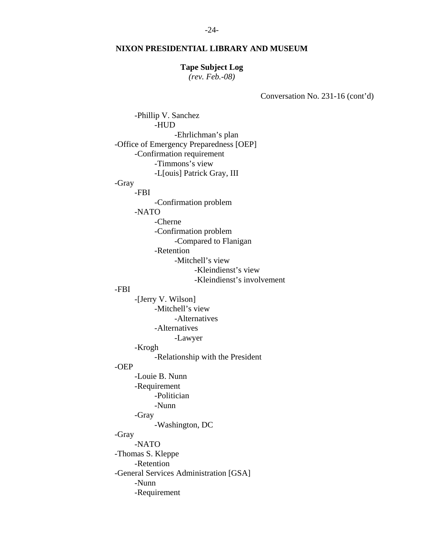#### **Tape Subject Log**

*(rev. Feb.-08)* 

Conversation No. 231-16 (cont'd)

 -Phillip V. Sanchez -HUD -Ehrlichman's plan -Office of Emergency Preparedness [OEP] -Confirmation requirement -Timmons's view -L[ouis] Patrick Gray, III -Gray -FBI -Confirmation problem -NATO -Cherne -Confirmation problem -Compared to Flanigan -Retention -Mitchell's view -Kleindienst's view -Kleindienst's involvement -FBI -[Jerry V. Wilson] -Mitchell's view -Alternatives -Alternatives -Lawyer -Krogh -Relationship with the President -OEP -Louie B. Nunn -Requirement -Politician -Nunn -Gray -Washington, DC -Gray -NATO -Thomas S. Kleppe -Retention -General Services Administration [GSA] -Nunn -Requirement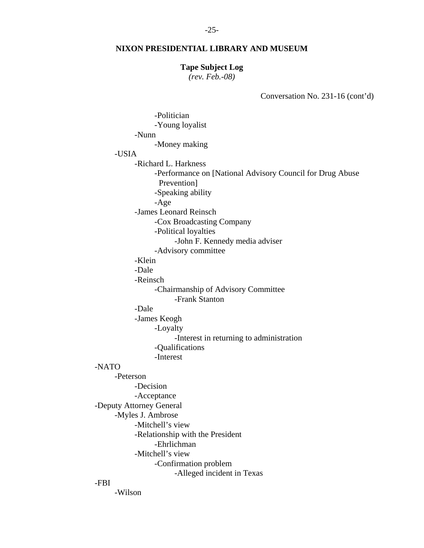#### **Tape Subject Log**

*(rev. Feb.-08)* 

Conversation No. 231-16 (cont'd)

| -Politician                                               |
|-----------------------------------------------------------|
| -Young loyalist                                           |
| -Nunn                                                     |
| -Money making                                             |
| -USIA                                                     |
| -Richard L. Harkness                                      |
| -Performance on [National Advisory Council for Drug Abuse |
| Prevention]                                               |
| -Speaking ability                                         |
| $-Age$                                                    |
| -James Leonard Reinsch                                    |
| -Cox Broadcasting Company                                 |
| -Political loyalties                                      |
| -John F. Kennedy media adviser                            |
| -Advisory committee                                       |
| -Klein                                                    |
| -Dale                                                     |
| -Reinsch                                                  |
| -Chairmanship of Advisory Committee                       |
| -Frank Stanton                                            |
| -Dale                                                     |
| -James Keogh                                              |
| -Loyalty                                                  |
| -Interest in returning to administration                  |
| -Qualifications                                           |
| -Interest                                                 |
| -NATO                                                     |
| -Peterson                                                 |
| -Decision                                                 |
| -Acceptance                                               |
| -Deputy Attorney General                                  |
| -Myles J. Ambrose                                         |
| -Mitchell's view                                          |
| -Relationship with the President                          |
| -Ehrlichman                                               |
| -Mitchell's view                                          |
| -Confirmation problem                                     |
| -Alleged incident in Texas                                |
| -FBI                                                      |

-Wilson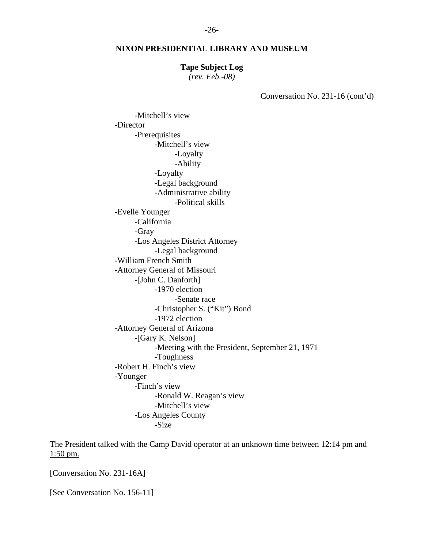#### **Tape Subject Log**

*(rev. Feb.-08)* 

Conversation No. 231-16 (cont'd)

 -Mitchell's view -Director -Prerequisites -Mitchell's view -Loyalty -Ability -Loyalty -Legal background -Administrative ability -Political skills -Evelle Younger -California -Gray -Los Angeles District Attorney -Legal background -William French Smith -Attorney General of Missouri -[John C. Danforth] -1970 election -Senate race -Christopher S. ("Kit") Bond -1972 election -Attorney General of Arizona -[Gary K. Nelson] -Meeting with the President, September 21, 1971 -Toughness -Robert H. Finch's view -Younger -Finch's view -Ronald W. Reagan's view -Mitchell's view -Los Angeles County -Size

The President talked with the Camp David operator at an unknown time between 12:14 pm and 1:50 pm.

[Conversation No. 231-16A]

[See Conversation No. 156-11]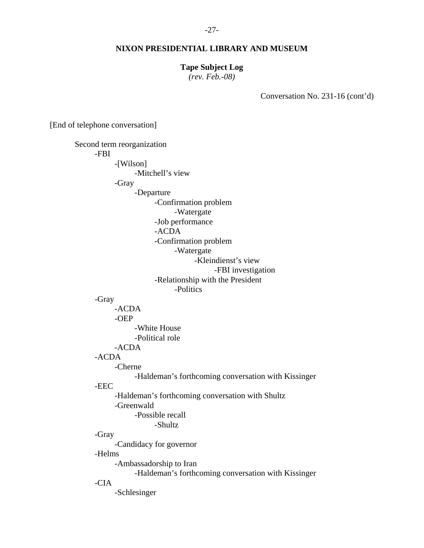#### **Tape Subject Log**

*(rev. Feb.-08)* 

Conversation No. 231-16 (cont'd)

[End of telephone conversation]

 Second term reorganization -FBI -[Wilson] -Mitchell's view -Gray -Departure -Confirmation problem -Watergate -Job performance -ACDA -Confirmation problem -Watergate -Kleindienst's view -FBI investigation -Relationship with the President -Politics -Gray -ACDA -OEP -White House -Political role -ACDA -ACDA -Cherne -Haldeman's forthcoming conversation with Kissinger -EEC -Haldeman's forthcoming conversation with Shultz -Greenwald -Possible recall -Shultz -Gray -Candidacy for governor -Helms -Ambassadorship to Iran -Haldeman's forthcoming conversation with Kissinger -CIA -Schlesinger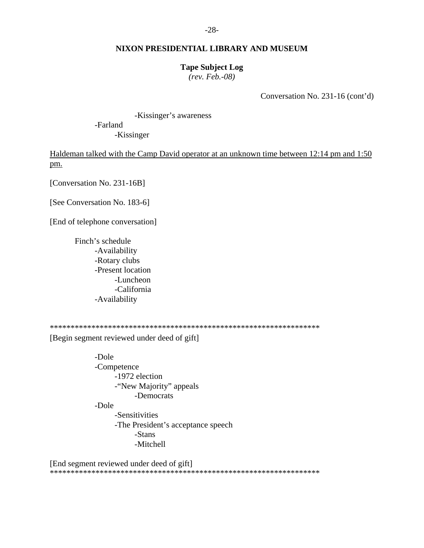#### **Tape Subject Log**

*(rev. Feb.-08)* 

Conversation No. 231-16 (cont'd)

 -Kissinger's awareness -Farland -Kissinger

Haldeman talked with the Camp David operator at an unknown time between 12:14 pm and 1:50 pm.

[Conversation No. 231-16B]

[See Conversation No. 183-6]

[End of telephone conversation]

 Finch's schedule -Availability -Rotary clubs -Present location -Luncheon -California -Availability

\*\*\*\*\*\*\*\*\*\*\*\*\*\*\*\*\*\*\*\*\*\*\*\*\*\*\*\*\*\*\*\*\*\*\*\*\*\*\*\*\*\*\*\*\*\*\*\*\*\*\*\*\*\*\*\*\*\*\*\*\*\*\*\*\*

[Begin segment reviewed under deed of gift]

 -Dole -Competence -1972 election -"New Majority" appeals -Democrats -Dole -Sensitivities -The President's acceptance speech -Stans -Mitchell

[End segment reviewed under deed of gift] \*\*\*\*\*\*\*\*\*\*\*\*\*\*\*\*\*\*\*\*\*\*\*\*\*\*\*\*\*\*\*\*\*\*\*\*\*\*\*\*\*\*\*\*\*\*\*\*\*\*\*\*\*\*\*\*\*\*\*\*\*\*\*\*\*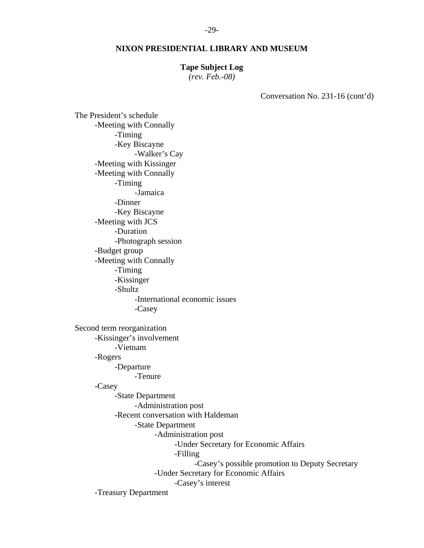# **Tape Subject Log**

*(rev. Feb.-08)* 

Conversation No. 231-16 (cont'd)

 The President's schedule -Meeting with Connally -Timing -Key Biscayne -Walker's Cay -Meeting with Kissinger -Meeting with Connally -Timing -Jamaica -Dinner -Key Biscayne -Meeting with JCS -Duration -Photograph session -Budget group -Meeting with Connally -Timing -Kissinger -Shultz -International economic issues -Casey Second term reorganization -Kissinger's involvement -Vietnam -Rogers -Departure -Tenure -Casey -State Department -Administration post -Recent conversation with Haldeman -State Department -Administration post -Under Secretary for Economic Affairs -Filling -Casey's possible promotion to Deputy Secretary -Under Secretary for Economic Affairs -Casey's interest -Treasury Department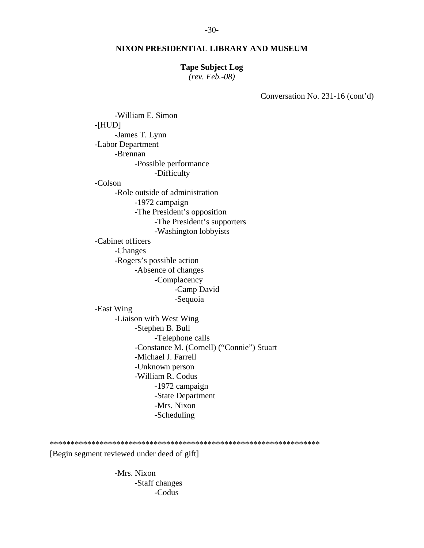#### **Tape Subject Log**

*(rev. Feb.-08)* 

Conversation No. 231-16 (cont'd)

 -William E. Simon -[HUD] -James T. Lynn -Labor Department -Brennan -Possible performance -Difficulty -Colson -Role outside of administration -1972 campaign -The President's opposition -The President's supporters -Washington lobbyists -Cabinet officers -Changes -Rogers's possible action -Absence of changes -Complacency -Camp David -Sequoia -East Wing -Liaison with West Wing -Stephen B. Bull -Telephone calls -Constance M. (Cornell) ("Connie") Stuart -Michael J. Farrell -Unknown person -William R. Codus -1972 campaign -State Department -Mrs. Nixon -Scheduling

#### \*\*\*\*\*\*\*\*\*\*\*\*\*\*\*\*\*\*\*\*\*\*\*\*\*\*\*\*\*\*\*\*\*\*\*\*\*\*\*\*\*\*\*\*\*\*\*\*\*\*\*\*\*\*\*\*\*\*\*\*\*\*\*\*\*

[Begin segment reviewed under deed of gift]

 -Mrs. Nixon -Staff changes -Codus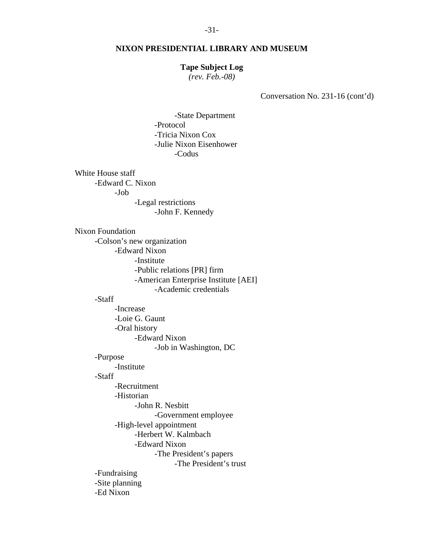#### **Tape Subject Log**

*(rev. Feb.-08)* 

Conversation No. 231-16 (cont'd)

 -State Department -Protocol -Tricia Nixon Cox -Julie Nixon Eisenhower -Codus

 White House staff -Edward C. Nixon -Job -Legal restrictions -John F. Kennedy

 Nixon Foundation -Colson's new organization -Edward Nixon -Institute -Public relations [PR] firm -American Enterprise Institute [AEI] -Academic credentials

### -Staff

 -Increase -Loie G. Gaunt -Oral history -Edward Nixon -Job in Washington, DC -Purpose -Institute -Staff -Recruitment -Historian -John R. Nesbitt -Government employee -High-level appointment -Herbert W. Kalmbach -Edward Nixon -The President's papers -The President's trust -Fundraising -Site planning -Ed Nixon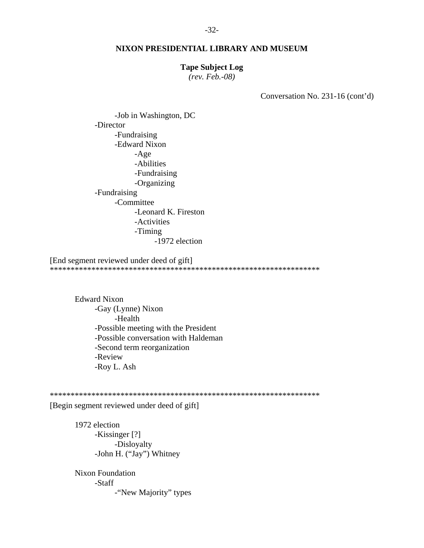# **Tape Subject Log**

*(rev. Feb.-08)* 

Conversation No. 231-16 (cont'd)

 -Job in Washington, DC -Director -Fundraising -Edward Nixon -Age -Abilities -Fundraising -Organizing -Fundraising -Committee -Leonard K. Fireston -Activities -Timing -1972 election

[End segment reviewed under deed of gift] \*\*\*\*\*\*\*\*\*\*\*\*\*\*\*\*\*\*\*\*\*\*\*\*\*\*\*\*\*\*\*\*\*\*\*\*\*\*\*\*\*\*\*\*\*\*\*\*\*\*\*\*\*\*\*\*\*\*\*\*\*\*\*\*\*

 Edward Nixon -Gay (Lynne) Nixon -Health -Possible meeting with the President -Possible conversation with Haldeman -Second term reorganization -Review -Roy L. Ash

\*\*\*\*\*\*\*\*\*\*\*\*\*\*\*\*\*\*\*\*\*\*\*\*\*\*\*\*\*\*\*\*\*\*\*\*\*\*\*\*\*\*\*\*\*\*\*\*\*\*\*\*\*\*\*\*\*\*\*\*\*\*\*\*\*

[Begin segment reviewed under deed of gift]

 1972 election -Kissinger [?] -Disloyalty -John H. ("Jay") Whitney

 Nixon Foundation -Staff -"New Majority" types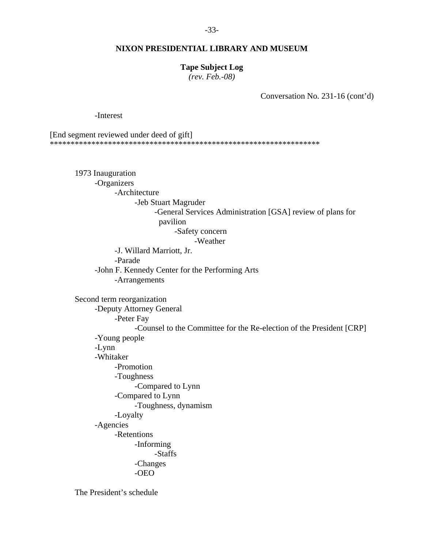#### **Tape Subject Log**

*(rev. Feb.-08)* 

Conversation No. 231-16 (cont'd)

-Interest

[End segment reviewed under deed of gift] \*\*\*\*\*\*\*\*\*\*\*\*\*\*\*\*\*\*\*\*\*\*\*\*\*\*\*\*\*\*\*\*\*\*\*\*\*\*\*\*\*\*\*\*\*\*\*\*\*\*\*\*\*\*\*\*\*\*\*\*\*\*\*\*\*

 1973 Inauguration -Organizers -Architecture -Jeb Stuart Magruder -General Services Administration [GSA] review of plans for pavilion

-Safety concern

-Weather

 -J. Willard Marriott, Jr. -Parade -John F. Kennedy Center for the Performing Arts -Arrangements

 Second term reorganization -Deputy Attorney General -Peter Fay -Counsel to the Committee for the Re-election of the President [CRP] -Young people -Lynn -Whitaker -Promotion -Toughness -Compared to Lynn -Compared to Lynn -Toughness, dynamism -Loyalty -Agencies -Retentions -Informing -Staffs -Changes -OEO

The President's schedule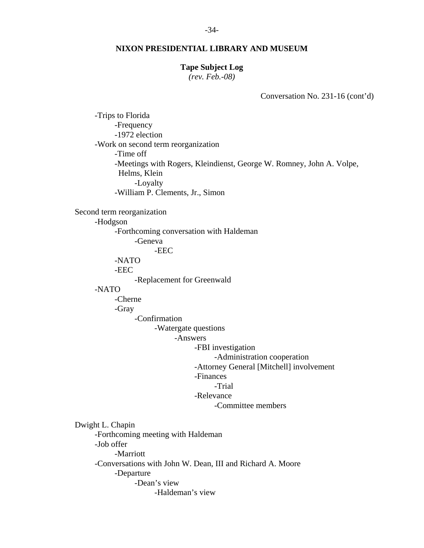#### -34-

#### **NIXON PRESIDENTIAL LIBRARY AND MUSEUM**

#### **Tape Subject Log**

*(rev. Feb.-08)* 

Conversation No. 231-16 (cont'd)

 -Trips to Florida -Frequency -1972 election -Work on second term reorganization -Time off -Meetings with Rogers, Kleindienst, George W. Romney, John A. Volpe, Helms, Klein -Loyalty -William P. Clements, Jr., Simon Second term reorganization -Hodgson -Forthcoming conversation with Haldeman -Geneva -EEC -NATO -EEC -Replacement for Greenwald -NATO -Cherne -Gray -Confirmation -Watergate questions -Answers -FBI investigation -Administration cooperation -Attorney General [Mitchell] involvement -Finances -Trial -Relevance -Committee members Dwight L. Chapin -Forthcoming meeting with Haldeman -Job offer -Marriott -Conversations with John W. Dean, III and Richard A. Moore -Departure -Dean's view -Haldeman's view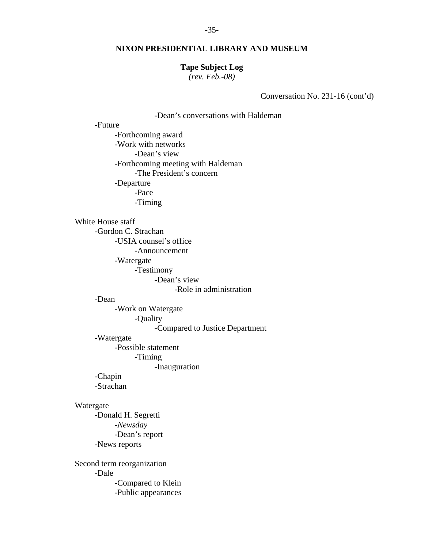#### **Tape Subject Log**

*(rev. Feb.-08)* 

Conversation No. 231-16 (cont'd)

# -Dean's conversations with Haldeman

-Future

 -Forthcoming award -Work with networks -Dean's view -Forthcoming meeting with Haldeman -The President's concern -Departure -Pace -Timing

White House staff

-Gordon C. Strachan

-USIA counsel's office

-Announcement

-Watergate

-Testimony

-Dean's view

-Role in administration

-Dean

 -Work on Watergate -Quality

-Compared to Justice Department

#### -Watergate

-Possible statement

-Timing

-Inauguration

-Chapin

-Strachan

#### Watergate

 -Donald H. Segretti -*Newsday* -Dean's report -News reports

 Second term reorganization -Dale -Compared to Klein -Public appearances